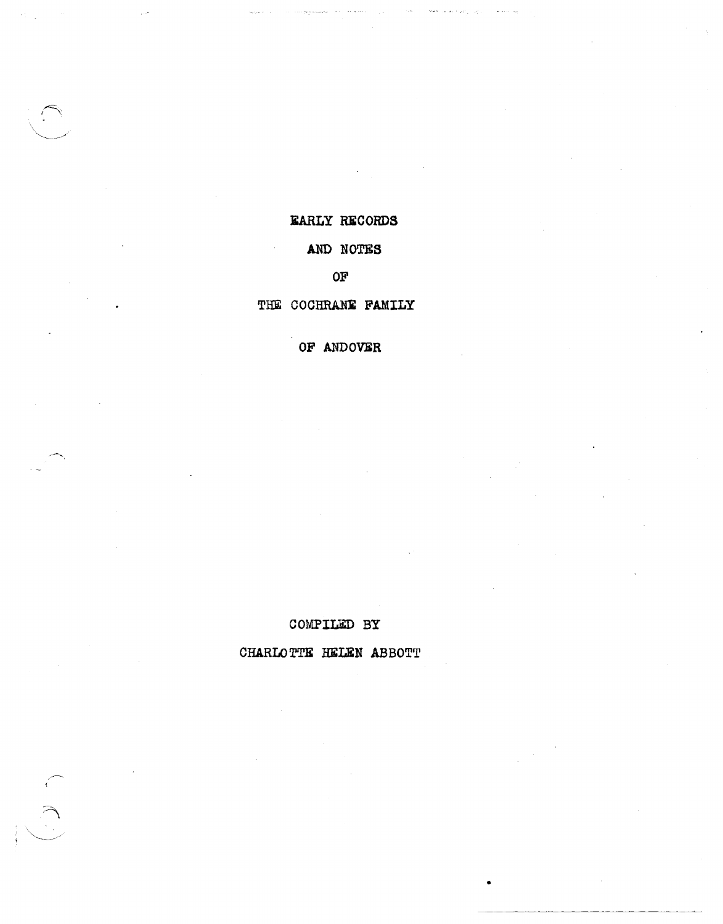## **EARLY RECORDS**

## AND NOTES

## $OF$

#### THE COCHRANE FAMILY

OF ANDOVER

#### COMPILED BY

CHARLOTTE HELEN ABBOTT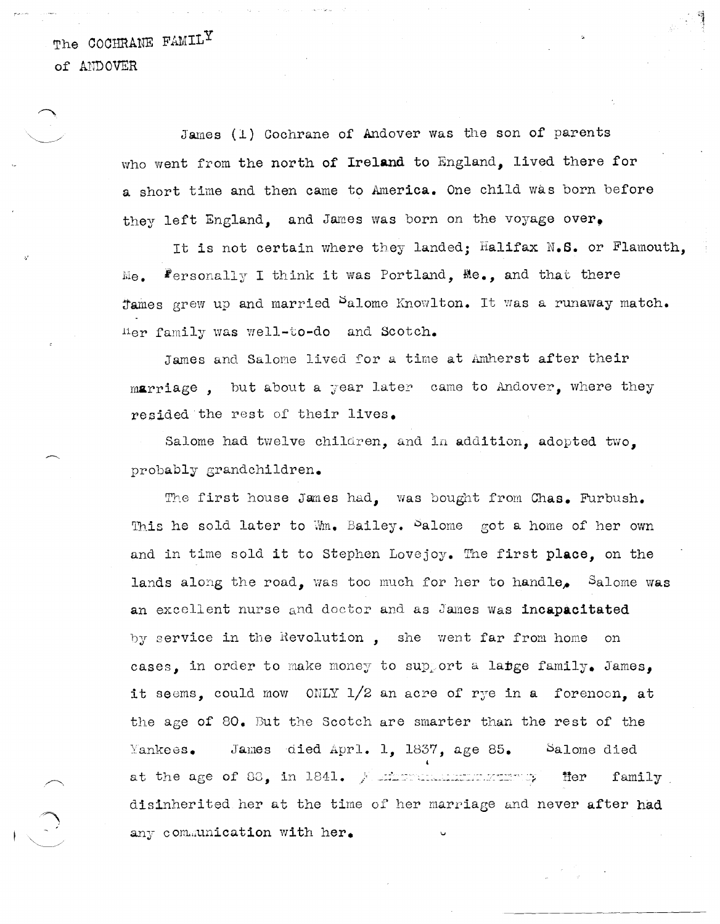The COCHRANE FAMILY of A1IDOVER

> James (1) Cochrane of Andover was the son of parents who went from the north of Ireland to England, lived there for a short time and then came to America. One child was born before they left England. and James was born on the voyage over.

It is not certain where they landed: Halifax N.S. or Flamouth.  $Me_{\bullet}$ . Personally I think it was Portland,  $Me_{\bullet}$ , and that there Tames grew up and married <sup>S</sup>alome Knowlton. It was a runaway match. Her family was well-to-do and Scotch.

James and Salome lived for a time at Amherst after their marriage. but about a year later came to Andover, where they resided the rest of their lives.

Salome had twelve children, and in addition, adopted two, probably grandchildren.

The first house James had, was bought from Chas. Furbush. This he sold later to Wm. Bailey. Salome got a home of her own and in time sold it to Stephen Lovejoy. The first place, on the lands along the road, was too much for her to handle, Salome was an excellent nurse and doctor and as James was incapacitated by service in the Revolution, she went far from home on cases. in order to make money to support a lapge family. James. it seems, could mow ONLY  $1/2$  an acre of rye in a forenoon, at the age of 80. But the Scotch are smarter than the rest of the  $Yankees$ . James died Aprl. 1, 1837, age 85. Salome died at the age of 88, in 1841. A minimum momentum op fter family disinherited her at the time of her marriage and never after had any communication with her.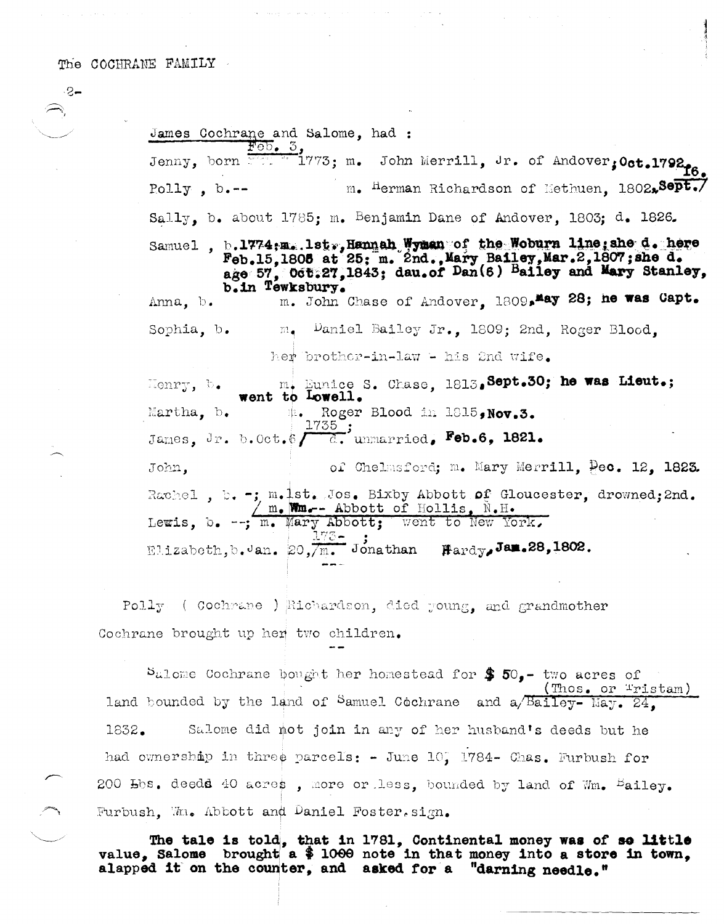James Cochrane and Salome, had : Jenny, born 1773; m. John Merrill, Jr. of Andover, Oct.1792. m. Herman Richardson of Methuen. 1802.8ept./  $P_{\text{o}}11y$ , b.--Sally, b. about  $1785$ ; m. Benjamin Dane of Andover, 1803; d. 1826. Samuel, b.1774;m. lst., Hannah Wyman of the Woburn line; she d. here<br>Feb.15,1805 at 25; m. 2nd., Mary Bailey, Mar.2,1807; she d. age 57, 066.27, 1843; dau.of Dan(6) Bailey and Mary Stanley, b.in Tewksbury. m. John Chase of Andover, 1809, May 28; he was Capt. Anna, b. Daniel Bailey Jr., 1809; 2nd, Roger Blood, Sophia, b.  $m_\bullet$ her brother-in-law - his 2nd wife. m. Eunice S. Chase, 1813, Sept.30; he was Lieut.; went to Lowell. Henry, b. Martha,  $b_{\bullet}$ th. Roger Blood in 1815, Nov.3. James, Jr. b. Oct.  $\oint \frac{1735}{c}$ ; unmarried, Feb.6, 1821. of Chelmsford; m. Mary Merrill, Pec. 12. 1823. John, Rachel, b. -; m.1st. Jos. Bixby Abbott of Gloucester. drowned: 2nd. Lewis, b. --; m. Mary Abbott; went to New York,  $\frac{1}{2}$  Jonathan  $\text{Hardy, Jan.28, 1802.}$ Elizabeth, b.Jan. 20,7m.

Polly (Cochmane ) Richardson, died young, and grandmother Cochrane brought up her two children.

Sulome Cochrane bought her homestead for  $$50,-$  two acres of (Thos. or Tristam) land bounded by the land of Samuel Cochrane and a/Bailey-May. 24. Salome did not join in any of her husband's deeds but he 1832. had ownership in three parcels: - June 10, 1784- Chas. Furbush for 200 Hbs. deedd 40 acres, more or less, bounded by land of Wm. Eailey. Furbush, Wm. Abbott and Daniel Foster.sign.

The tale is told, that in 1781, Continental money was of so little value, Salome brought a \$ 1000 note in that money into a store in town. alapped it on the counter, and asked for a "darning needle."

-୧–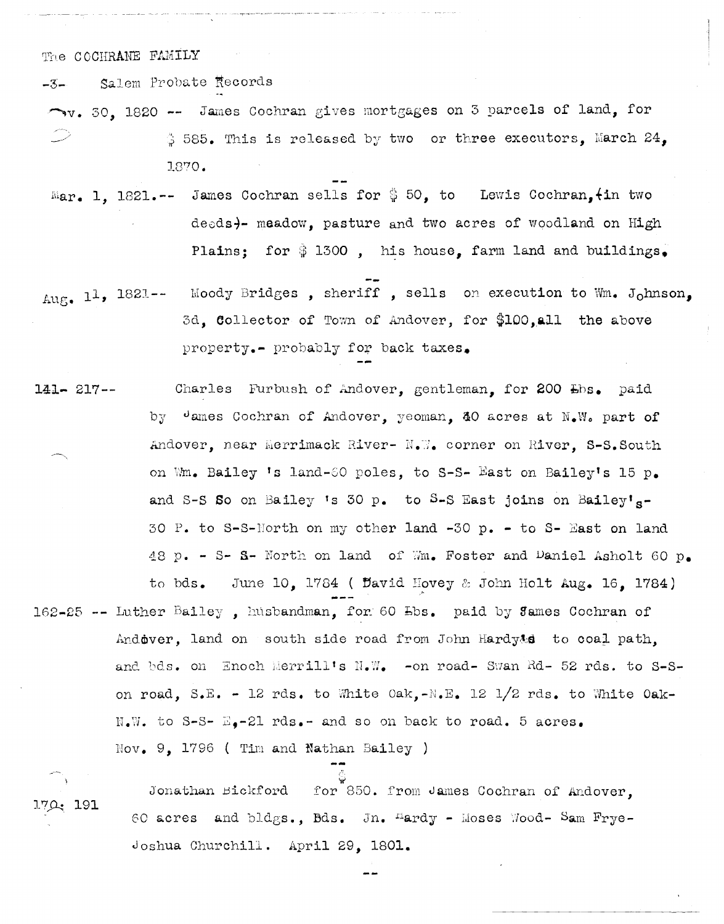Salem Probate Records  $-3-$ 

- V. 30. 1820 -- James Cochran gives mortgages on 3 parcels of land, for  $\frac{4}{9}$  585. This is released by two or three executors, March 24, 1870.
- Mar. 1. 1821.-- James Cochran sells for  $\frac{6}{9}$  50, to Lewis Cochran,  $\frac{1}{10}$  two deeds)- meadow, pasture and two acres of woodland on High Plains; for \$1300, his house, farm land and buildings,
- Aug. 11, 1821--Moody Bridges, sheriff, sells on execution to Wm. Johnson. 3d. Collector of Town of Andover, for \$100, all the above property.- probably for back taxes.
- Charles Furbush of Andover, gentleman, for 200 Lbs. paid  $141 - 217 -$ by James Cochran of Andover, yeoman, 40 acres at N.W. part of Andover, near Merrimack River- N.W. corner on River, S-S. South on Wm. Bailey 's land-80 poles, to S-S- East on Bailey's 15 p. and S-S So on Bailey 's 30 p. to S-S East joins on Bailey's-30 P. to S-S-Horth on my other land -30 p. - to S- East on land 48 p. - S- S- North on land of Wm. Foster and Daniel Asholt 60 p. June 10. 1784 ( David Hovey & John Holt Aug. 16. 1784) to bds.
- 162-25 -- Luther Bailey, husbandman, for 60 Lbs. paid by James Cochran of Andover, land on south side road from John Hardy&s to coal path, and bds. on Enoch Merrill's N.W. -on road- Swan Rd- 52 rds. to S-Son road, S.E. - 12 rds. to White Oak,-N.E. 12 1/2 rds. to White Oak- $N_{\bullet}$ . to S-S-  $E_{\bullet}$ -21 rds. - and so on back to road. 5 acres.  $\text{Nov}_{\bullet}$  9, 1796 (Tim and Nathan Bailey)

for 850. from James Cochran of Andover. Jonathan Bickford  $170:191$ 60 acres and bldgs., Bds. Jn. Hardy - Moses Wood- Sam Frye-Joshua Churchill. April 29. 1801.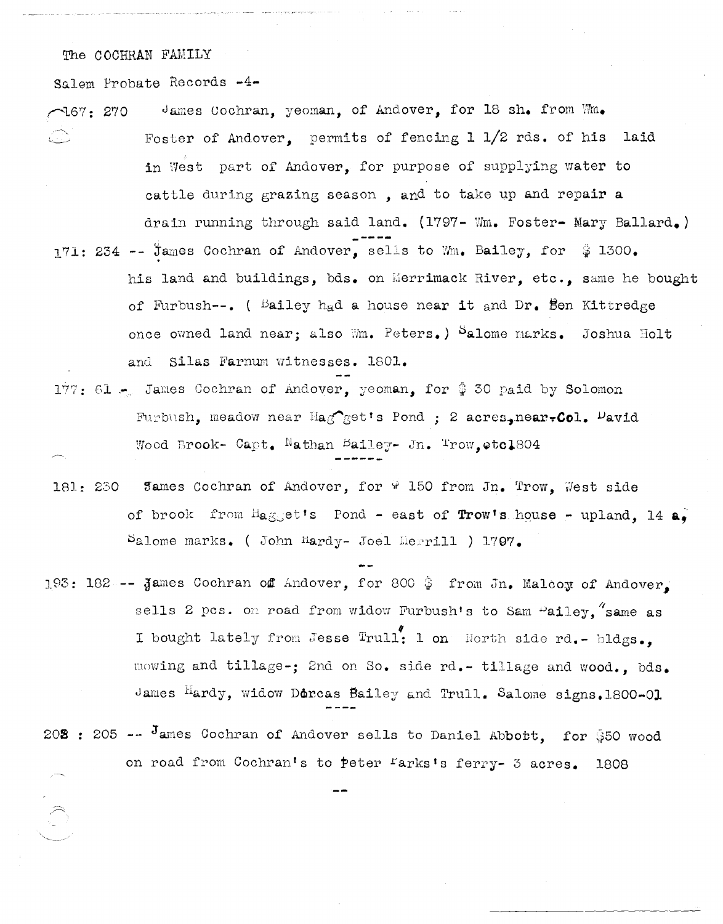Salem Probate Records -4-

- James Cochran, yeoman, of Andover, for 18 sh. from Wm.  $\sqrt{167} : 270$ Foster of Andover, permits of fencing  $1 \frac{1}{2}$  rds. of his laid in West part of Andover. for purpose of supplying water to cattle during grazing season, and to take up and repair a drain running through said land. (1797- Wm. Foster- Mary Ballard.) 171: 234 -- James Cochran of Andover, sells to Wm. Bailey, for  $\frac{1}{9}$  1300. his land and buildings, bds. on Merrimack River, etc., same he bought of Furbush--. ( Bailey had a house near it and  $Dr_{\bullet}$  Ben Kittredge once owned land near; also Wm. Peters.) Salome marks. Joshua Holt and Silas Farnum witnesses. 1801.
- 177: 61 James Cochran of Andover, yeoman, for \$30 paid by Solomon Furbush, meadow near Hag get's Pond; 2 acres, near, Col. Pavid Wood Brook- Capt. Nathan Bailey- Jn. Trow, etcl804
- Sames Cochran of Andover, for  $\frac{1}{2}$  150 from Jn. Trow, West side 181: 230 of brook from  $H_{\mathbf{a},\mathbb{R}}$  et's Pond - east of Trow's house - upland. 14  $\mathbf{a}_\bullet$ Salome marks. (John Hardy- Joel Merrill ) 1797.
- 193: 182 -- James Cochran of Andover, for 800  $\frac{1}{4}$  from Jn. Malcoy of Andover, sells 2 pcs. on road from widow Furbush's to Sam Pailey. same as I bought lately from Jesse Trull! 1 on North side rd. - bldgs., mowing and tillage-; 2nd on So. side rd.- tillage and wood., bds. James Hardy, widow Dorcas Bailey and Trull. Salome signs. 1800-01
- 202: 205 -- James Cochran of Andover sells to Daniel Abbott, for \$50 wood on road from Cochran's to peter farks's ferry- 3 acres. 1808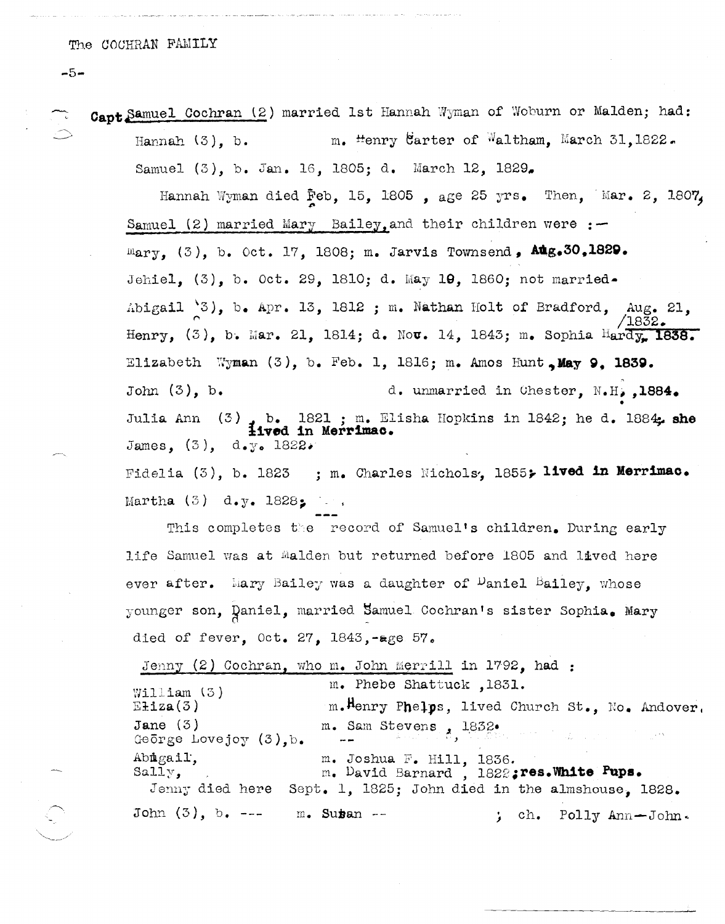$-5-$ 

Capt Samuel Cochran (2) married 1st Hannah Wyman of Woburn or Malden; had: m. Henry Carter of Waltham. March 31, 1822. Hannah $(3)$ , b. Samuel (3), b. Jan. 16, 1805; d. March 12, 1829. Hannah Wyman died Feb, 15, 1805, age 25 yrs. Then, Mar. 2, 1807,

Samuel (2) married Mary Bailey, and their children were :- $\text{Mary.}$  (3), b. Oct. 17, 1808; m. Jarvis Townsend,  $\text{Alg.}30,1829.$ Jehiel, (3), b. Oct. 29, 1810; d. May 10, 1860; not married. Abigail '3), b. Apr. 13, 1812 ; m. Nathan Holt of Bradford, Aug. 21, Henry, (3), b. Mar. 21, 1814; d. Nov. 14, 1843; m. Sophia Hardy, 1838. Elizabeth Wyman  $(3)$ , b. Feb. 1, 1816; m. Amos Hunt. May 9. 1839. John  $(3)$ , b. d. unmarried in Chester, N.H., 1884. b. 1821 ; m. Elisha Hopkins in 1842; he d. 1884. she  $(3)$ Julia Ann **iived in Merrimac.** James,  $(3)$ , d.y. 1822. Fidelia (3), b. 1823 ; m. Charles Nichols, 1855; lived in Merrimac.

Martha  $(3)$  d.y. 1828;  $\ldots$ 

This completes the record of Samuel's children. During early life Samuel was at Malden but returned before 1805 and lived here ever after. Mary Bailey was a daughter of Daniel Bailey, whose younger son, Daniel, married Samuel Cochran's sister Sophia. Mary died of fever, Oct. 27, 1843,-age 57.

Jenny (2) Cochran, who m. John Merrill in 1792, had : m. Phebe Shattuck , 1831.  $William(3)$  $E$ **i**  $z$ **a** $(3)$ m. Henry Phelps, lived Church St., No. Andover, m. Sam Stevens, 1832. Jane  $(3)$ George Lovejoy  $(3)$ , b. m. Joshua F. Hill, 1836.<br>m. David Barnard, 1822; res. White Pups. Abigail,  $Sally,$ Jenny died here Sept. 1, 1825; John died in the almshouse, 1828.  $John (3), b. --$ m. Su<del>s</del>an --; ch. Polly Ann-John.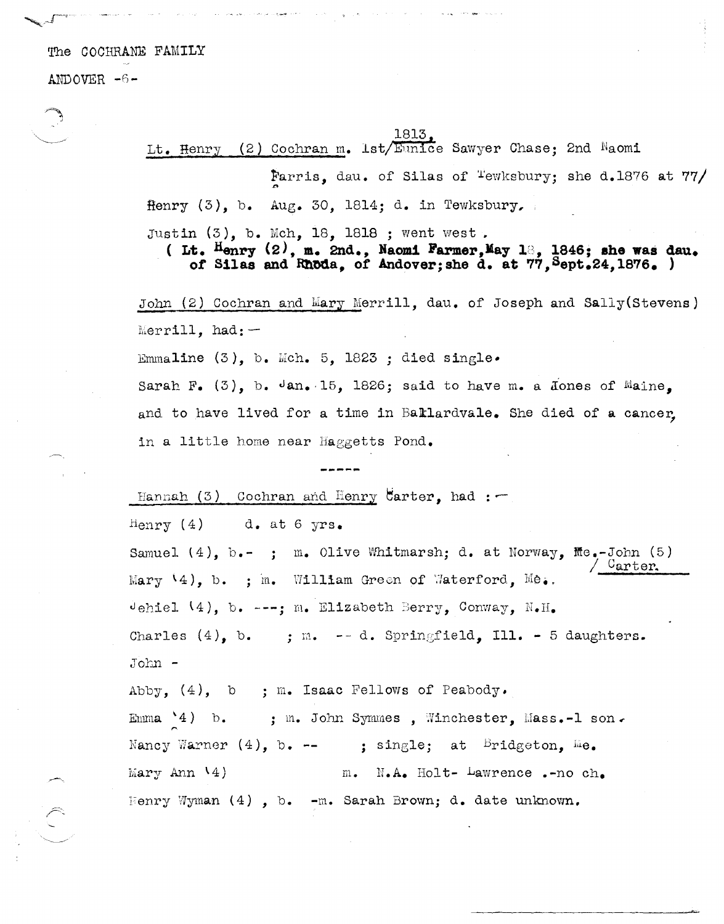ANDOVER -6-

1813 (2) Cochran m. 1st/Eunice Sawyer Chase; 2nd Naomi Lt. Henry Farris, dau. of Silas of <sup>T</sup>ewksbury; she d.1876 at  $77/$ Henry  $(3)$ , b. Aug. 30, 1814; d. in Tewksbury,

Justin  $(3)$ , b. Mch, 18, 1818 ; went west.

(Lt. Henry  $(2)$ , m. 2nd., Naomi Farmer, May 13, 1846; she was dau. of Silas and Rhoda, of Andover; she d. at 77, Sept. 24, 1876.)

John (2) Cochran and Mary Merrill, dau. of Joseph and Sally (Stevens) Merrill,  $had:$ 

Emmaline  $(3)$ , b. Mch. 5, 1823 ; died single.

Sarah F. (3), b.  $\sqrt{an}$ , 15, 1826; said to have m. a Jones of Maine, and to have lived for a time in Ballardvale. She died of a cancer in a little home near Haggetts Pond.

Hannah  $(3)$  Cochran and Henry Carter, had :  $-$ 

 $Henry (4)$ d. at 6 yrs.

Samuel  $(4)$ , b.-; m. Olive Whitmarsh; d. at Norway, Me.-John  $(5)$ Carter. Mary 14), b. ; m. William Green of Waterford. Me. Jehiel  $(4)$ , b. ---; m. Elizabeth Berry, Conway, N.H. Charles  $(4)$ , b. : m.  $- d$ . Springfield, Ill. - 5 daughters. John -

Abby,  $(4)$ , b ; m. Isaac Fellows of Peabody.

; m. John Symmes, Winchester, Mass.-1 son. Emma  $4)$  b. Nancy Warner  $(4)$ , b. -- : single; at Bridgeton,  $he$ . Mary Ann  $(4)$  $N.A.$  Holt-  $Lawrence .-no ch.$  $m_{\bullet}$ Henry Wyman  $(4)$ , b. -m. Sarah Brown; d. date unknown.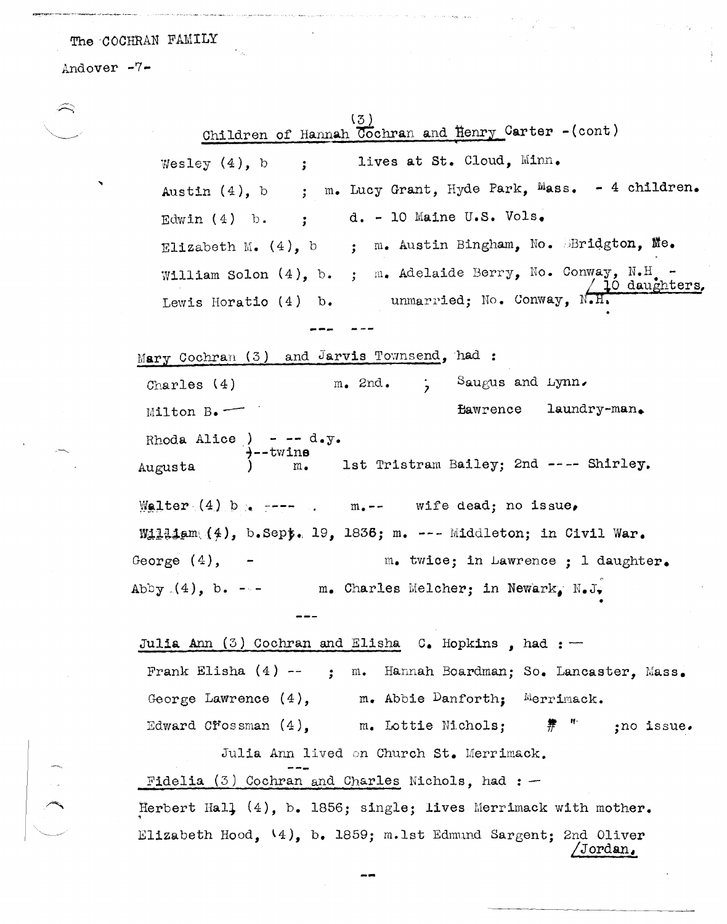a community can be a coupled posted

 $\langle \cdot \rangle_{\mathcal{A}_i}$ 

Andover -7-

**Northern Management** 

 $\hat{\rightarrow}$ 

 $\hat{\boldsymbol{\theta}}$ 

| (3)<br>Children of Hannah Cochran and Henry Carter -(cont)                                                        |
|-------------------------------------------------------------------------------------------------------------------|
| lives at St. Cloud, Minn.<br>Wesley $(4)$ , b ;                                                                   |
| Austin (4), b ; m. Lucy Grant, Hyde Park, Mass. - 4 children.                                                     |
| Edwin (4) b. ; d. - 10 Maine U.S. Vols.                                                                           |
| Elizabeth M. $(4)$ , b ; m. Austin Bingham, No. Bridgton, Me.                                                     |
| William Solon $(4)$ , b. ; m. Adelaide Berry, No. Conway, N.H. -                                                  |
| Lewis Horatio (4) b. unmarried; No. Conway, $N.H.$ To daughters.                                                  |
|                                                                                                                   |
| Mary Cochran (3) and Jarvis Townsend, had:                                                                        |
| Charles (4) $m.$ 2nd. $5.$ Saugus and Lynn.                                                                       |
| Eawrence laundry-man.<br>$Milton B$ .                                                                             |
| Rhoda Alice ) - -- d.y.<br>$\rightarrow$ --twins<br>$\qquad \qquad$ 1st Tristram Bailey; 2nd ---- Shirley.        |
| Augusta                                                                                                           |
| Walter $(4)$ by $---$ m. -- wife dead; no issue,                                                                  |
| William $(4)$ , b.Sept. 19, 1836; m. --- Middleton; in Civil War.                                                 |
| George $(4)$ , $-$<br>m. twice; in Lawrence ; 1 daughter.                                                         |
| m. Charles Melcher; in Newark, N.J.<br>Abby $(4)$ , b. ---                                                        |
|                                                                                                                   |
| Julia Ann $(3)$ Cochran and Elisha C. Hopkins, had: -                                                             |
| Frank Elisha $(4)$ -- ; m. Hannah Boardman; So. Lancaster, Mass.                                                  |
| George Lawrence $(4)$ , m. Abbie Danforth; Merrimack.<br>Edward Crossman $(4)$ , m. Lottie Nichols; # ";no issue. |
|                                                                                                                   |
| Julia Ann lived on Church St. Merrimack.                                                                          |
| Fidelia $(3)$ Cochran and Charles Nichols, had : -                                                                |
| Herbert Hall (4), b. 1856; single; lives Merrimack with mother.                                                   |
| Elizabeth Hood, 14), b. 1859; m.lst Edmund Sargent; 2nd Oliver<br>'Jordan.                                        |

 $\rightarrow$ 

 $\chi^2$ 

 $\bar{\beta}_0$ 

 $\mathcal{P}_{\mu}$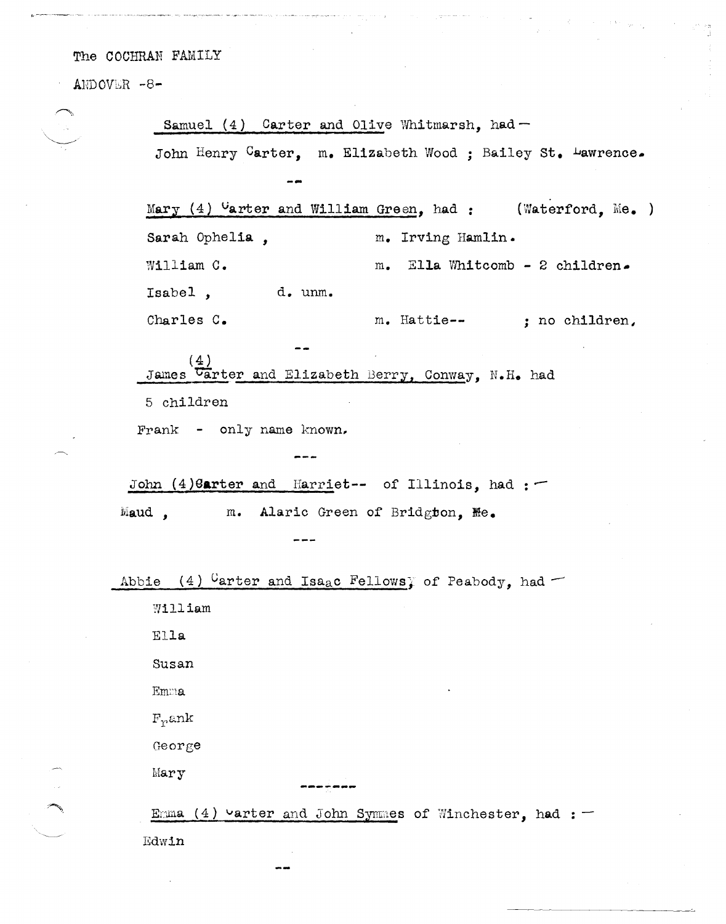$ANDOVER -8-$ 

| Samuel $(4)$ Carter and Olive Whitmarsh, had -                   |
|------------------------------------------------------------------|
| John Henry Carter, m. Elizabeth Wood ; Bailey St. Lawrence.      |
|                                                                  |
| Mary $(4)$ Uarter and William Green, had : (Waterford, Me.)      |
| Sarah Ophelia,<br>m. Irving Hamlin.                              |
| William C.<br>m. Ella Whitcomb - 2 children.                     |
| Isabel, d. unm.                                                  |
| Charles C.<br>m. Hattie-- ; no children,                         |
| (4)<br>James <i>Carter</i> and Elizabeth Berry, Conway, N.H. had |
| 5 children                                                       |
| Frank - only name known.                                         |
|                                                                  |
| John (4) Garter and Harriet-- of Illinois, had :-                |
| m. Alaric Green of Bridgton, Me.<br>Maud,                        |
|                                                                  |
| Abbie (4) Carter and Isaac Fellows; of Peabody, had -            |
| William                                                          |
| Ella                                                             |
| Susan                                                            |
| <b>Emma</b>                                                      |
| F <sub>r</sub> ank                                               |
| George                                                           |
| Mary                                                             |
| Emma (4) varter and John Symmes of Winchester, had : $-$         |
| Edwin                                                            |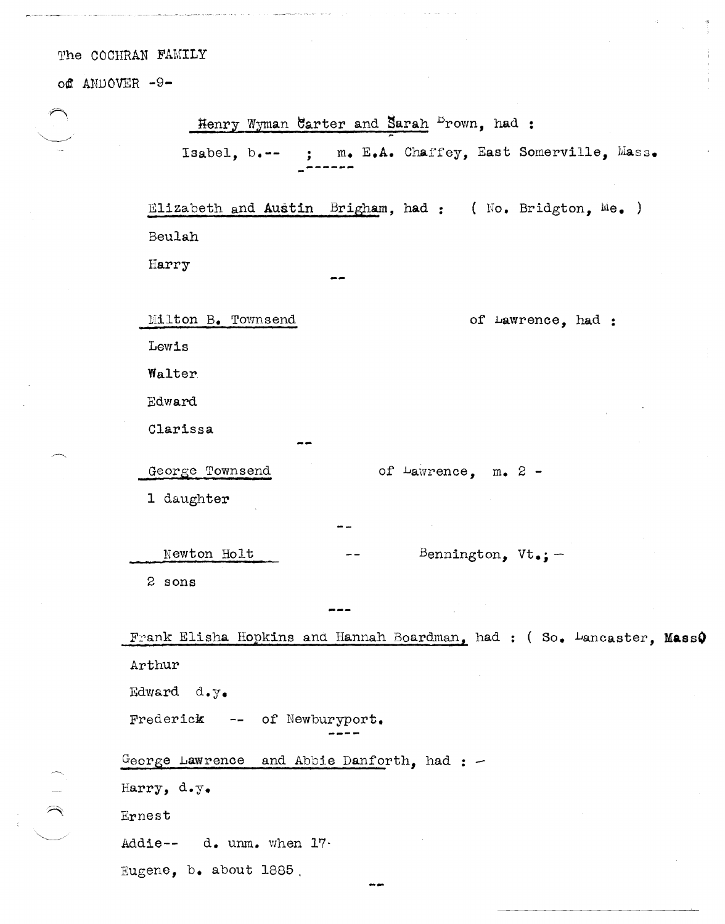off ANDOVER -9-

 $\ddot{t}$ 

| Henry Wyman Carter and Sarah Frown, had :                             |
|-----------------------------------------------------------------------|
| ; m. E.A. Chaffey, East Somerville, Mass.<br>Isabel, $b_{\bullet}$ -- |
|                                                                       |
| Elizabeth and Austin Brigham, had: (No. Bridgton, Me.)                |
| Beulah                                                                |
| Harry                                                                 |
|                                                                       |
| Milton B. Townsend<br>of Lawrence, had :                              |
| Lewis                                                                 |
| Walter                                                                |
| Edward                                                                |
| Clarissa                                                              |
| George Townsend<br>of $\text{Lawrence}$ , m. 2 -                      |
| 1 daughter                                                            |
|                                                                       |
| Newton Holt<br>Bennington, $Vt_{\bullet j}$ -                         |
| 2 sons                                                                |
|                                                                       |
| Frank Elisha Hopkins and Hannah Boardman, had: (So. Lancaster, MassQ  |
| Arthur                                                                |
| Edward d.y.                                                           |
| Frederick<br>of Newburyport.                                          |
|                                                                       |
| George Lawrence and Abbie Danforth, had : -                           |
| Harry, d.y.                                                           |
| Ernest                                                                |
| Addie-- d. unm. when 17.                                              |
| Eugene, b. about 1885.                                                |
|                                                                       |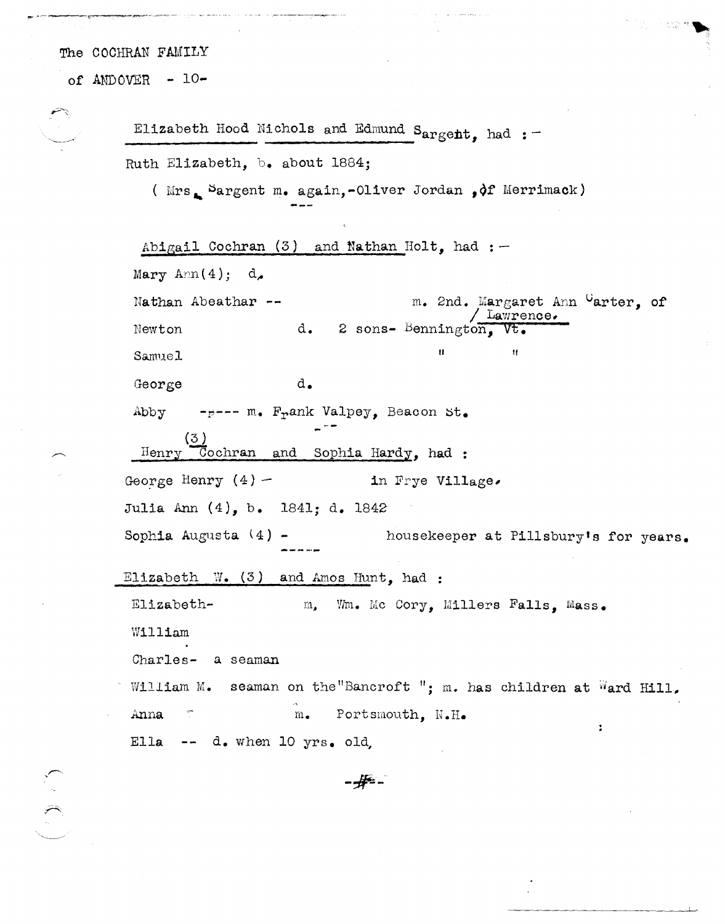of ANDOVER - 10-

Elizabeth Hood Nichols and Edmund Sargent, had :-Ruth Elizabeth, b. about 1884; ( $Mrs_{\bullet}$  Sargent m. again,-Oliver Jordan , of Merrimack)

Abigail Cochran  $(3)$  and Nathan Holt, had : -Mary Ann $(4)$ ; d. m. 2nd. Margaret Ann Carter, of Nathan Abeathar --Lawrence. d. 2 sons- Bennington, Newton  $\mathbf{u}$  $\mathbf{H}$ Samuel d. George -p--- m. Frank Valpey, Beacon St. Abby Cochran and Sophia Hardy, had: Henry George Henry  $(4)$  – in Frye Village. Julia Ann (4), b. 1841; d. 1842 Sophia Augusta  $(4)$  housekeeper at Pillsbury's for years. Elizabeth  $W_{\bullet}$  (3) and Amos Hunt, had : Elizabeth-Wm. Mc Cory, Millers Falls, Mass.  $m_{\bullet}$ William Charles- a seaman William M. seaman on the "Bancroft"; m. has children at Ward Hill, Portsmouth, N.H. Anna  $\overline{\mathbb{C}}$  $m_{\bullet}$  $\ddot{\phantom{a}}$ Ella -- d. when 10  $yrs.$  old,

-#-